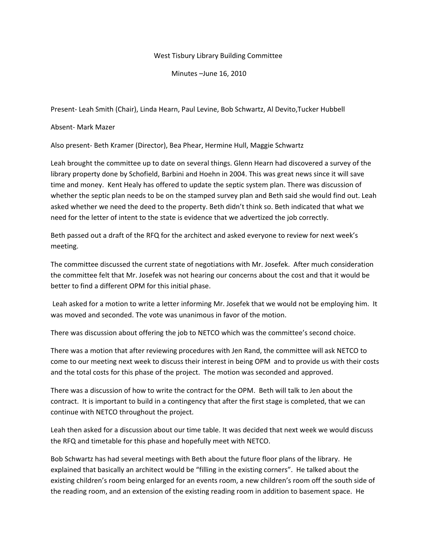## West Tisbury Library Building Committee

Minutes –June 16, 2010

Present‐ Leah Smith (Chair), Linda Hearn, Paul Levine, Bob Schwartz, Al Devito,Tucker Hubbell

Absent‐ Mark Mazer

Also present‐ Beth Kramer (Director), Bea Phear, Hermine Hull, Maggie Schwartz

Leah brought the committee up to date on several things. Glenn Hearn had discovered a survey of the library property done by Schofield, Barbini and Hoehn in 2004. This was great news since it will save time and money. Kent Healy has offered to update the septic system plan. There was discussion of whether the septic plan needs to be on the stamped survey plan and Beth said she would find out. Leah asked whether we need the deed to the property. Beth didn't think so. Beth indicated that what we need for the letter of intent to the state is evidence that we advertized the job correctly.

Beth passed out a draft of the RFQ for the architect and asked everyone to review for next week's meeting.

The committee discussed the current state of negotiations with Mr. Josefek. After much consideration the committee felt that Mr. Josefek was not hearing our concerns about the cost and that it would be better to find a different OPM for this initial phase.

Leah asked for a motion to write a letter informing Mr. Josefek that we would not be employing him. It was moved and seconded. The vote was unanimous in favor of the motion.

There was discussion about offering the job to NETCO which was the committee's second choice.

There was a motion that after reviewing procedures with Jen Rand, the committee will ask NETCO to come to our meeting next week to discuss their interest in being OPM and to provide us with their costs and the total costs for this phase of the project. The motion was seconded and approved.

There was a discussion of how to write the contract for the OPM. Beth will talk to Jen about the contract. It is important to build in a contingency that after the first stage is completed, that we can continue with NETCO throughout the project.

Leah then asked for a discussion about our time table. It was decided that next week we would discuss the RFQ and timetable for this phase and hopefully meet with NETCO.

Bob Schwartz has had several meetings with Beth about the future floor plans of the library. He explained that basically an architect would be "filling in the existing corners". He talked about the existing children's room being enlarged for an events room, a new children's room off the south side of the reading room, and an extension of the existing reading room in addition to basement space. He